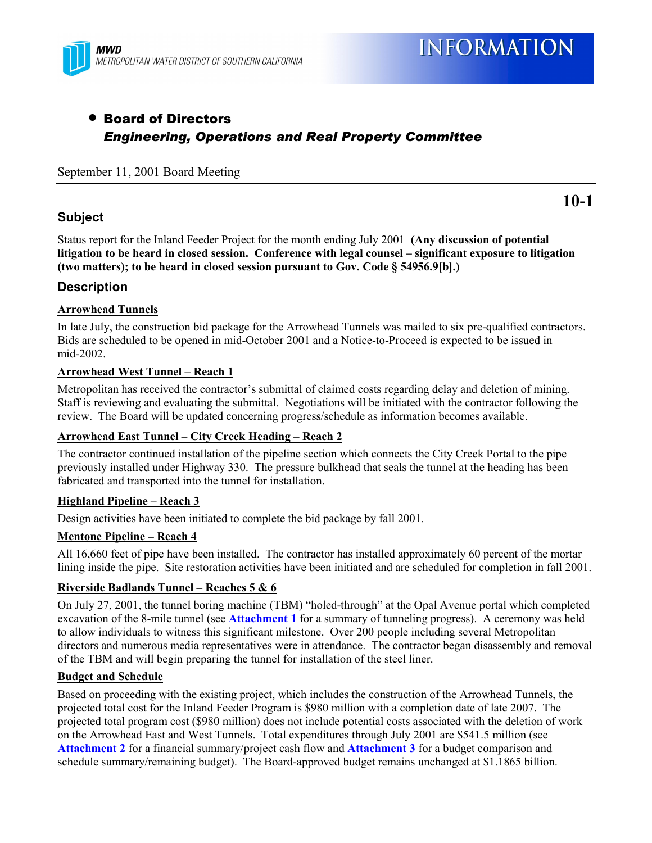

# • Board of Directors *Engineering, Operations and Real Property Committee*

September 11, 2001 Board Meeting

#### **Subject**

**10-1**

Status report for the Inland Feeder Project for the month ending July 2001 **(Any discussion of potential** litigation to be heard in closed session. Conference with legal counsel – significant exposure to litigation **(two matters); to be heard in closed session pursuant to Gov. Code ß 54956.9[b].)**

#### **Description**

#### **Arrowhead Tunnels**

In late July, the construction bid package for the Arrowhead Tunnels was mailed to six pre-qualified contractors. Bids are scheduled to be opened in mid-October 2001 and a Notice-to-Proceed is expected to be issued in mid-2002.

#### **Arrowhead West Tunnel – Reach 1**

Metropolitan has received the contractor's submittal of claimed costs regarding delay and deletion of mining. Staff is reviewing and evaluating the submittal. Negotiations will be initiated with the contractor following the review. The Board will be updated concerning progress/schedule as information becomes available.

#### **Arrowhead East Tunnel – City Creek Heading – Reach 2**

The contractor continued installation of the pipeline section which connects the City Creek Portal to the pipe previously installed under Highway 330. The pressure bulkhead that seals the tunnel at the heading has been fabricated and transported into the tunnel for installation.

#### **Highland Pipeline – Reach 3**

Design activities have been initiated to complete the bid package by fall 2001.

#### **Mentone Pipeline – Reach 4**

All 16,660 feet of pipe have been installed. The contractor has installed approximately 60 percent of the mortar lining inside the pipe. Site restoration activities have been initiated and are scheduled for completion in fall 2001.

#### **Riverside Badlands Tunnel – Reaches 5 & 6**

On July 27, 2001, the tunnel boring machine (TBM) "holed-through" at the Opal Avenue portal which completed excavation of the 8-mile tunnel (see **Attachment 1** for a summary of tunneling progress). A ceremony was held to allow individuals to witness this significant milestone. Over 200 people including several Metropolitan directors and numerous media representatives were in attendance. The contractor began disassembly and removal of the TBM and will begin preparing the tunnel for installation of the steel liner.

#### **Budget and Schedule**

Based on proceeding with the existing project, which includes the construction of the Arrowhead Tunnels, the projected total cost for the Inland Feeder Program is \$980 million with a completion date of late 2007. The projected total program cost (\$980 million) does not include potential costs associated with the deletion of work on the Arrowhead East and West Tunnels. Total expenditures through July 2001 are \$541.5 million (see **Attachment 2** for a financial summary/project cash flow and **Attachment 3** for a budget comparison and schedule summary/remaining budget). The Board-approved budget remains unchanged at \$1.1865 billion.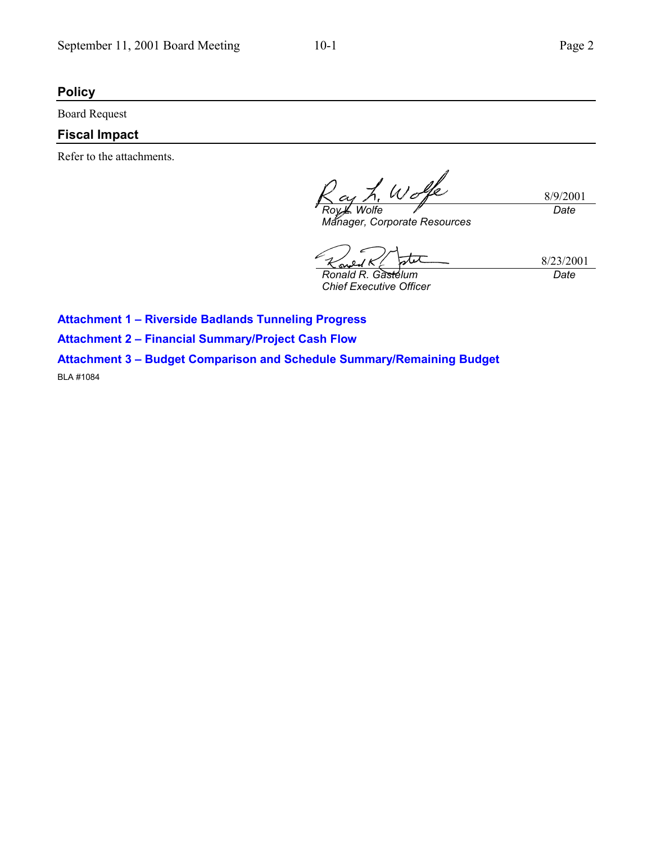### **Policy**

Board Request

## **Fiscal Impact**

Refer to the attachments.

8/9/2001 *Roy L. Wolfe Date*

*Manager, Corporate Resources*

*Ronald R. Gastelum*

*Chief Executive Officer*

8/23/2001 *Date*

**Attachment 1 - Riverside Badlands Tunneling Progress** 

**Attachment 2 - Financial Summary/Project Cash Flow** 

# **Attachment 3 - Budget Comparison and Schedule Summary/Remaining Budget**

BLA #1084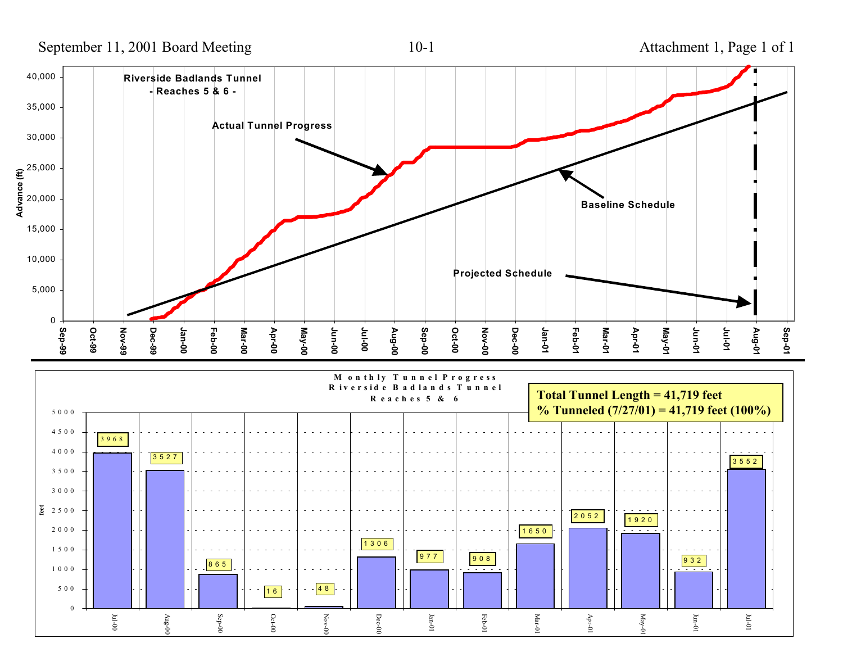September 11, 2001 Board Meeting 10-1 Attachment 1, Page 1 of 1



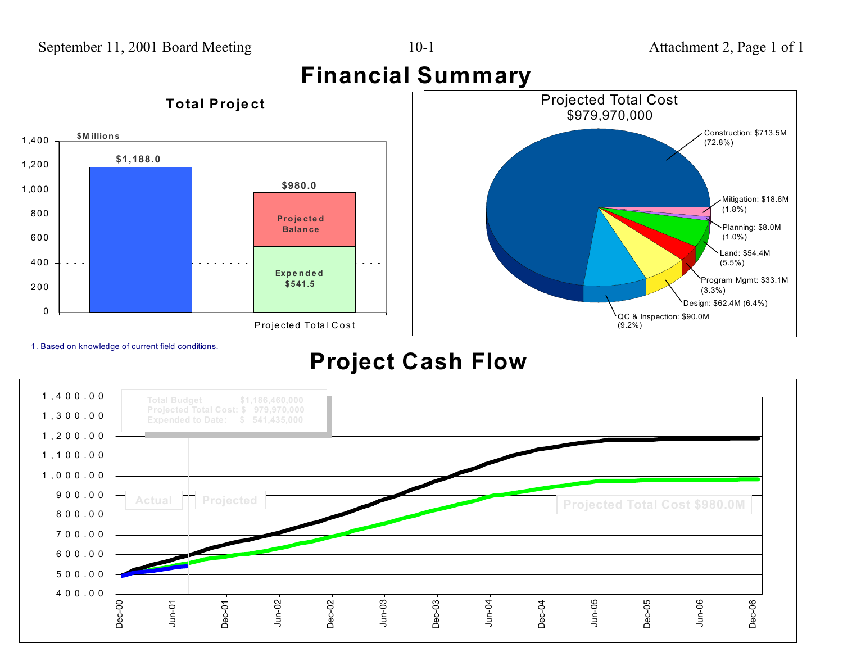

1. Based on knowledge of current field conditions.

0

200

400

600

800

1,000

1,200

1,400

# **Project Cash Flow**

 $\sim 10^{-1}$ 

 $\omega = \omega - \omega$ 

Projected Total Cost

**Exp <sup>e</sup> <sup>n</sup> d <sup>e</sup> d \$541.5**



Land: \$54.4M(5.5%)

Program Mgmt: \$33.1M

Design: \$62.4M (6.4%)

(3.3%)

QC & Inspection: \$90.0M

(9.2%)